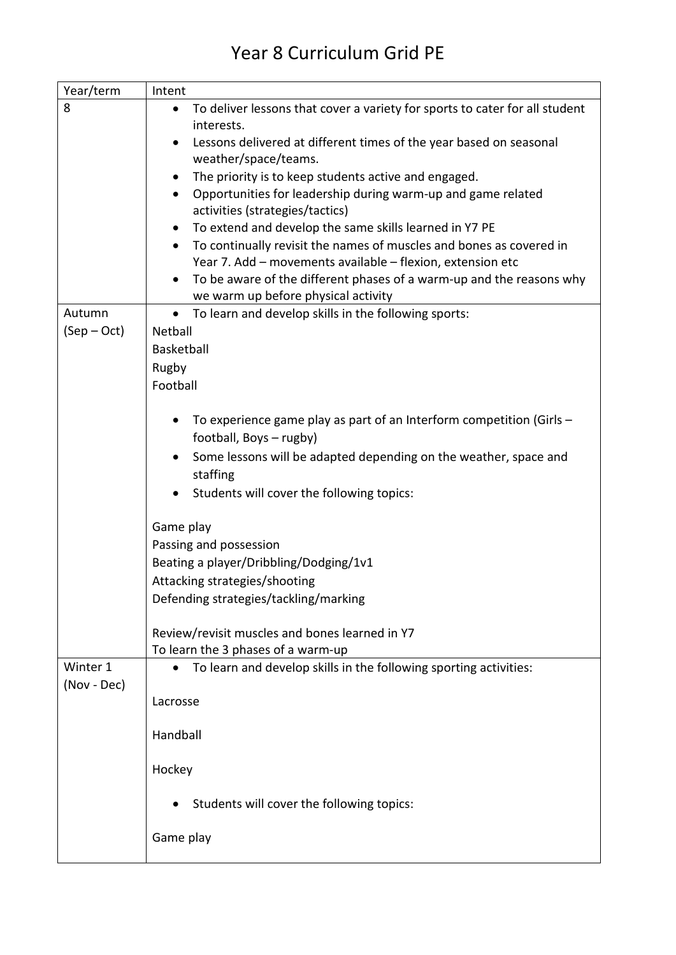## Year 8 Curriculum Grid PE

| Year/term   | Intent                                                                                   |
|-------------|------------------------------------------------------------------------------------------|
| 8           | To deliver lessons that cover a variety for sports to cater for all student<br>$\bullet$ |
|             | interests.                                                                               |
|             | Lessons delivered at different times of the year based on seasonal                       |
|             | weather/space/teams.                                                                     |
|             | The priority is to keep students active and engaged.<br>$\bullet$                        |
|             | Opportunities for leadership during warm-up and game related<br>$\bullet$                |
|             | activities (strategies/tactics)                                                          |
|             | To extend and develop the same skills learned in Y7 PE                                   |
|             | To continually revisit the names of muscles and bones as covered in                      |
|             | Year 7. Add - movements available - flexion, extension etc                               |
|             | To be aware of the different phases of a warm-up and the reasons why                     |
|             | we warm up before physical activity                                                      |
| Autumn      | To learn and develop skills in the following sports:<br>$\bullet$                        |
| $(Sep-Oct)$ | Netball                                                                                  |
|             | Basketball                                                                               |
|             | Rugby                                                                                    |
|             | Football                                                                                 |
|             |                                                                                          |
|             | To experience game play as part of an Interform competition (Girls -                     |
|             | football, Boys - rugby)                                                                  |
|             | Some lessons will be adapted depending on the weather, space and                         |
|             | staffing                                                                                 |
|             | Students will cover the following topics:                                                |
|             |                                                                                          |
|             | Game play                                                                                |
|             | Passing and possession                                                                   |
|             | Beating a player/Dribbling/Dodging/1v1                                                   |
|             | Attacking strategies/shooting                                                            |
|             | Defending strategies/tackling/marking                                                    |
|             |                                                                                          |
|             | Review/revisit muscles and bones learned in Y7                                           |
|             | To learn the 3 phases of a warm-up                                                       |
| Winter 1    | To learn and develop skills in the following sporting activities:                        |
| (Nov - Dec) |                                                                                          |
|             | Lacrosse                                                                                 |
|             |                                                                                          |
|             | Handball                                                                                 |
|             |                                                                                          |
|             | Hockey                                                                                   |
|             |                                                                                          |
|             | Students will cover the following topics:                                                |
|             |                                                                                          |
|             | Game play                                                                                |
|             |                                                                                          |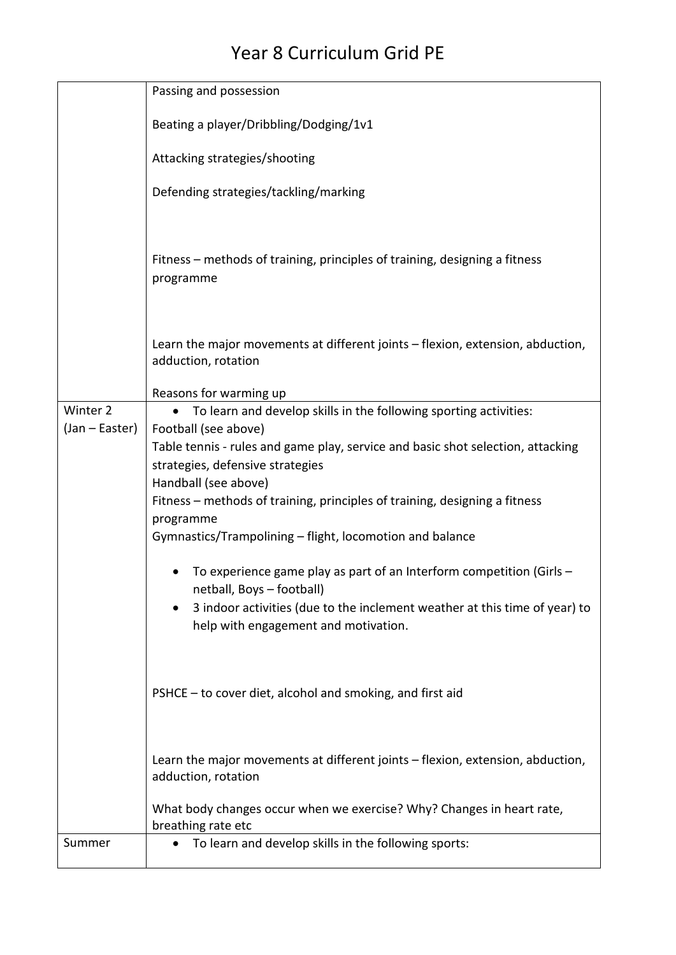## Year 8 Curriculum Grid PE

|                | Passing and possession                                                                                             |
|----------------|--------------------------------------------------------------------------------------------------------------------|
|                | Beating a player/Dribbling/Dodging/1v1                                                                             |
|                | Attacking strategies/shooting                                                                                      |
|                | Defending strategies/tackling/marking                                                                              |
|                | Fitness – methods of training, principles of training, designing a fitness<br>programme                            |
|                | Learn the major movements at different joints - flexion, extension, abduction,<br>adduction, rotation              |
|                | Reasons for warming up                                                                                             |
| Winter 2       | To learn and develop skills in the following sporting activities:<br>$\bullet$                                     |
| (Jan – Easter) | Football (see above)                                                                                               |
|                | Table tennis - rules and game play, service and basic shot selection, attacking                                    |
|                | strategies, defensive strategies<br>Handball (see above)                                                           |
|                | Fitness – methods of training, principles of training, designing a fitness                                         |
|                | programme                                                                                                          |
|                | Gymnastics/Trampolining - flight, locomotion and balance                                                           |
|                | To experience game play as part of an Interform competition (Girls -<br>netball, Boys - football)                  |
|                | 3 indoor activities (due to the inclement weather at this time of year) to<br>help with engagement and motivation. |
|                | PSHCE - to cover diet, alcohol and smoking, and first aid                                                          |
|                | Learn the major movements at different joints - flexion, extension, abduction,<br>adduction, rotation              |
|                | What body changes occur when we exercise? Why? Changes in heart rate,<br>breathing rate etc                        |
| Summer         | To learn and develop skills in the following sports:                                                               |